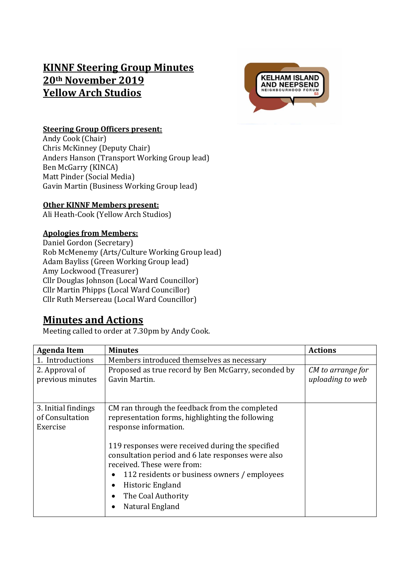# **KINNF Steering Group Minutes 20th November 2019 Yellow Arch Studios**



## **Steering Group Officers present:**

Andy Cook (Chair) Chris McKinney (Deputy Chair) Anders Hanson (Transport Working Group lead) Ben McGarry (KINCA) Matt Pinder (Social Media) Gavin Martin (Business Working Group lead)

#### **Other KINNF Members present:**

Ali Heath-Cook (Yellow Arch Studios)

#### **Apologies from Members:**

Daniel Gordon (Secretary) Rob McMenemy (Arts/Culture Working Group lead) Adam Bayliss (Green Working Group lead) Amy Lockwood (Treasurer) Cllr Douglas Johnson (Local Ward Councillor) Cllr Martin Phipps (Local Ward Councillor) Cllr Ruth Mersereau (Local Ward Councillor)

# **Minutes and Actions**

Meeting called to order at 7.30pm by Andy Cook.

| <b>Agenda Item</b>                                 | <b>Minutes</b>                                                                                                                                                                                                                                                                                                                                                                                                               | <b>Actions</b>                        |
|----------------------------------------------------|------------------------------------------------------------------------------------------------------------------------------------------------------------------------------------------------------------------------------------------------------------------------------------------------------------------------------------------------------------------------------------------------------------------------------|---------------------------------------|
| 1. Introductions                                   | Members introduced themselves as necessary                                                                                                                                                                                                                                                                                                                                                                                   |                                       |
| 2. Approval of<br>previous minutes                 | Proposed as true record by Ben McGarry, seconded by<br>Gavin Martin.                                                                                                                                                                                                                                                                                                                                                         | CM to arrange for<br>uploading to web |
| 3. Initial findings<br>of Consultation<br>Exercise | CM ran through the feedback from the completed<br>representation forms, highlighting the following<br>response information.<br>119 responses were received during the specified<br>consultation period and 6 late responses were also<br>received. These were from:<br>112 residents or business owners / employees<br>٠<br>Historic England<br>$\bullet$<br>The Coal Authority<br>$\bullet$<br>Natural England<br>$\bullet$ |                                       |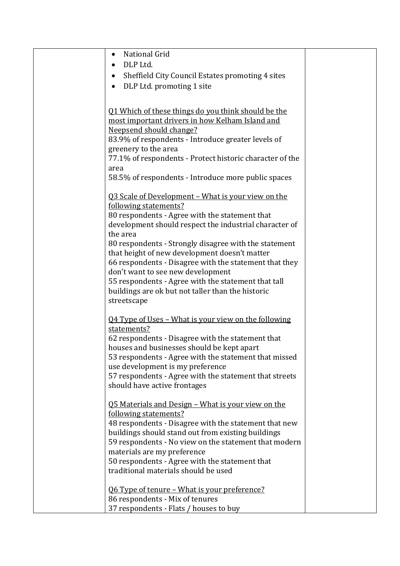| National Grid<br>٠                                                                              |  |
|-------------------------------------------------------------------------------------------------|--|
| DLP Ltd.                                                                                        |  |
| Sheffield City Council Estates promoting 4 sites<br>٠                                           |  |
| DLP Ltd. promoting 1 site<br>$\bullet$                                                          |  |
|                                                                                                 |  |
|                                                                                                 |  |
| 01 Which of these things do you think should be the                                             |  |
| most important drivers in how Kelham Island and                                                 |  |
| Neepsend should change?                                                                         |  |
| 83.9% of respondents - Introduce greater levels of                                              |  |
| greenery to the area                                                                            |  |
| 77.1% of respondents - Protect historic character of the                                        |  |
| area                                                                                            |  |
| 58.5% of respondents - Introduce more public spaces                                             |  |
| <u>Q3 Scale of Development – What is your view on the</u>                                       |  |
| following statements?                                                                           |  |
| 80 respondents - Agree with the statement that                                                  |  |
| development should respect the industrial character of                                          |  |
| the area                                                                                        |  |
| 80 respondents - Strongly disagree with the statement                                           |  |
| that height of new development doesn't matter                                                   |  |
| 66 respondents - Disagree with the statement that they                                          |  |
| don't want to see new development                                                               |  |
| 55 respondents - Agree with the statement that tall                                             |  |
| buildings are ok but not taller than the historic                                               |  |
| streetscape                                                                                     |  |
|                                                                                                 |  |
| <u>Q4 Type of Uses - What is your view on the following</u>                                     |  |
| statements?                                                                                     |  |
| 62 respondents - Disagree with the statement that<br>houses and businesses should be kept apart |  |
| 53 respondents - Agree with the statement that missed                                           |  |
| use development is my preference                                                                |  |
| 57 respondents - Agree with the statement that streets                                          |  |
| should have active frontages                                                                    |  |
|                                                                                                 |  |
| <u>Q5 Materials and Design – What is your view on the</u>                                       |  |
| following statements?                                                                           |  |
| 48 respondents - Disagree with the statement that new                                           |  |
| buildings should stand out from existing buildings                                              |  |
| 59 respondents - No view on the statement that modern                                           |  |
| materials are my preference                                                                     |  |
| 50 respondents - Agree with the statement that                                                  |  |
| traditional materials should be used                                                            |  |
| Q6 Type of tenure - What is your preference?                                                    |  |
| 86 respondents - Mix of tenures                                                                 |  |
| 37 respondents - Flats / houses to buy                                                          |  |
|                                                                                                 |  |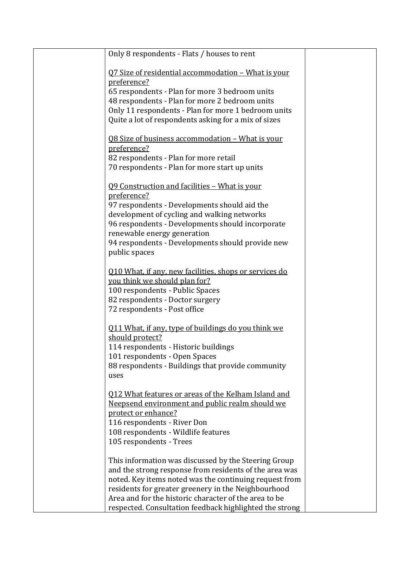| Only 8 respondents - Flats / houses to rent                                                                      |  |
|------------------------------------------------------------------------------------------------------------------|--|
| <u> Q7 Size of residential accommodation - What is your</u>                                                      |  |
| preference?                                                                                                      |  |
| 65 respondents - Plan for more 3 bedroom units                                                                   |  |
| 48 respondents - Plan for more 2 bedroom units                                                                   |  |
| Only 11 respondents - Plan for more 1 bedroom units                                                              |  |
| Quite a lot of respondents asking for a mix of sizes                                                             |  |
| <u>Q8 Size of business accommodation - What is your</u>                                                          |  |
| preference?                                                                                                      |  |
| 82 respondents - Plan for more retail                                                                            |  |
| 70 respondents - Plan for more start up units                                                                    |  |
| 09 Construction and facilities - What is your                                                                    |  |
| preference?                                                                                                      |  |
| 97 respondents - Developments should aid the                                                                     |  |
| development of cycling and walking networks                                                                      |  |
| 96 respondents - Developments should incorporate                                                                 |  |
| renewable energy generation                                                                                      |  |
| 94 respondents - Developments should provide new                                                                 |  |
| public spaces                                                                                                    |  |
| 010 What, if any, new facilities, shops or services do                                                           |  |
| you think we should plan for?                                                                                    |  |
| 100 respondents - Public Spaces                                                                                  |  |
| 82 respondents - Doctor surgery                                                                                  |  |
| 72 respondents - Post office                                                                                     |  |
| 011 What, if any, type of buildings do you think we                                                              |  |
| should protect?                                                                                                  |  |
| 114 respondents - Historic buildings                                                                             |  |
| 101 respondents - Open Spaces                                                                                    |  |
| 88 respondents - Buildings that provide community                                                                |  |
| uses                                                                                                             |  |
| 012 What features or areas of the Kelham Island and                                                              |  |
| Neepsend environment and public realm should we                                                                  |  |
| protect or enhance?                                                                                              |  |
| 116 respondents - River Don                                                                                      |  |
| 108 respondents - Wildlife features                                                                              |  |
| 105 respondents - Trees                                                                                          |  |
|                                                                                                                  |  |
| This information was discussed by the Steering Group                                                             |  |
| and the strong response from residents of the area was<br>noted. Key items noted was the continuing request from |  |
| residents for greater greenery in the Neighbourhood                                                              |  |
| Area and for the historic character of the area to be                                                            |  |
| respected. Consultation feedback highlighted the strong                                                          |  |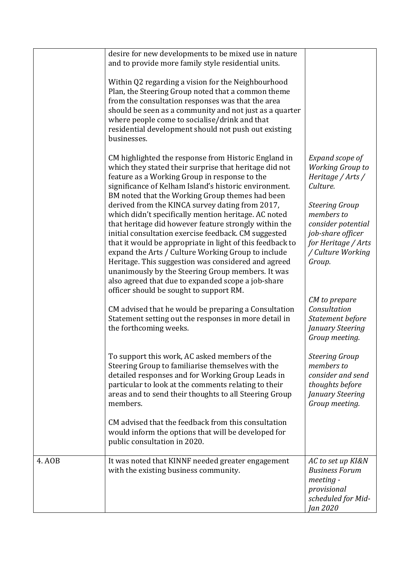|        | desire for new developments to be mixed use in nature<br>and to provide more family style residential units.<br>Within Q2 regarding a vision for the Neighbourhood<br>Plan, the Steering Group noted that a common theme<br>from the consultation responses was that the area<br>should be seen as a community and not just as a quarter<br>where people come to socialise/drink and that<br>residential development should not push out existing<br>businesses.                                                                                                                                                                                                                                                                                                                                                                                                                                |                                                                                                                                                                                                                                                      |
|--------|-------------------------------------------------------------------------------------------------------------------------------------------------------------------------------------------------------------------------------------------------------------------------------------------------------------------------------------------------------------------------------------------------------------------------------------------------------------------------------------------------------------------------------------------------------------------------------------------------------------------------------------------------------------------------------------------------------------------------------------------------------------------------------------------------------------------------------------------------------------------------------------------------|------------------------------------------------------------------------------------------------------------------------------------------------------------------------------------------------------------------------------------------------------|
|        | CM highlighted the response from Historic England in<br>which they stated their surprise that heritage did not<br>feature as a Working Group in response to the<br>significance of Kelham Island's historic environment.<br>BM noted that the Working Group themes had been<br>derived from the KINCA survey dating from 2017,<br>which didn't specifically mention heritage. AC noted<br>that heritage did however feature strongly within the<br>initial consultation exercise feedback. CM suggested<br>that it would be appropriate in light of this feedback to<br>expand the Arts / Culture Working Group to include<br>Heritage. This suggestion was considered and agreed<br>unanimously by the Steering Group members. It was<br>also agreed that due to expanded scope a job-share<br>officer should be sought to support RM.<br>CM advised that he would be preparing a Consultation | Expand scope of<br><b>Working Group to</b><br>Heritage / Arts /<br>Culture.<br><b>Steering Group</b><br>members to<br>consider potential<br>job-share officer<br>for Heritage / Arts<br>/ Culture Working<br>Group.<br>CM to prepare<br>Consultation |
|        | Statement setting out the responses in more detail in<br>the forthcoming weeks.                                                                                                                                                                                                                                                                                                                                                                                                                                                                                                                                                                                                                                                                                                                                                                                                                 | Statement before<br>January Steering<br>Group meeting.                                                                                                                                                                                               |
|        | To support this work, AC asked members of the<br>Steering Group to familiarise themselves with the<br>detailed responses and for Working Group Leads in<br>particular to look at the comments relating to their<br>areas and to send their thoughts to all Steering Group<br>members.<br>CM advised that the feedback from this consultation                                                                                                                                                                                                                                                                                                                                                                                                                                                                                                                                                    | <b>Steering Group</b><br>members to<br>consider and send<br>thoughts before<br>January Steering<br>Group meeting.                                                                                                                                    |
|        | would inform the options that will be developed for<br>public consultation in 2020.                                                                                                                                                                                                                                                                                                                                                                                                                                                                                                                                                                                                                                                                                                                                                                                                             |                                                                                                                                                                                                                                                      |
| 4. AOB | It was noted that KINNF needed greater engagement<br>with the existing business community.                                                                                                                                                                                                                                                                                                                                                                                                                                                                                                                                                                                                                                                                                                                                                                                                      | AC to set up KI&N<br><b>Business Forum</b><br>meeting -<br>provisional<br>scheduled for Mid-<br>Jan 2020                                                                                                                                             |